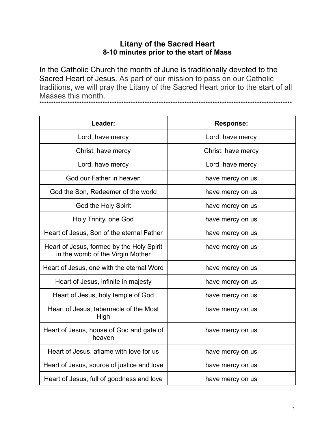## **Litany of the Sacred Heart** 8-10 minutes prior to the start of Mass

In the Catholic Church the month of June is traditionally devoted to the Sacred Heart of Jesus. As part of our mission to pass on our Catholic traditions, we will pray the Litany of the Sacred Heart prior to the start of all Masses this month. 

| Leader:                                                                       | <b>Response:</b>   |
|-------------------------------------------------------------------------------|--------------------|
| Lord, have mercy                                                              | Lord, have mercy   |
| Christ, have mercy                                                            | Christ, have mercy |
| Lord, have mercy                                                              | Lord, have mercy   |
| God our Father in heaven                                                      | have mercy on us   |
| God the Son, Redeemer of the world                                            | have mercy on us   |
| God the Holy Spirit                                                           | have mercy on us   |
| Holy Trinity, one God                                                         | have mercy on us   |
| Heart of Jesus, Son of the eternal Father                                     | have mercy on us   |
| Heart of Jesus, formed by the Holy Spirit<br>in the womb of the Virgin Mother | have mercy on us   |
| Heart of Jesus, one with the eternal Word                                     | have mercy on us   |
| Heart of Jesus, infinite in majesty                                           | have mercy on us   |
| Heart of Jesus, holy temple of God                                            | have mercy on us   |
| Heart of Jesus, tabernacle of the Most<br>High                                | have mercy on us   |
| Heart of Jesus, house of God and gate of<br>heaven                            | have mercy on us   |
| Heart of Jesus, aflame with love for us                                       | have mercy on us   |
| Heart of Jesus, source of justice and love                                    | have mercy on us   |
| Heart of Jesus, full of goodness and love                                     | have mercy on us   |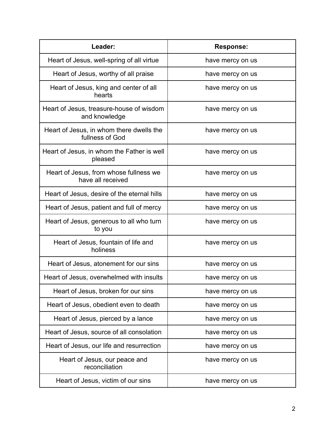| Leader:                                                     | <b>Response:</b> |
|-------------------------------------------------------------|------------------|
| Heart of Jesus, well-spring of all virtue                   | have mercy on us |
| Heart of Jesus, worthy of all praise                        | have mercy on us |
| Heart of Jesus, king and center of all<br>hearts            | have mercy on us |
| Heart of Jesus, treasure-house of wisdom<br>and knowledge   | have mercy on us |
| Heart of Jesus, in whom there dwells the<br>fullness of God | have mercy on us |
| Heart of Jesus, in whom the Father is well<br>pleased       | have mercy on us |
| Heart of Jesus, from whose fullness we<br>have all received | have mercy on us |
| Heart of Jesus, desire of the eternal hills                 | have mercy on us |
| Heart of Jesus, patient and full of mercy                   | have mercy on us |
| Heart of Jesus, generous to all who turn<br>to you          | have mercy on us |
| Heart of Jesus, fountain of life and<br>holiness            | have mercy on us |
| Heart of Jesus, atonement for our sins                      | have mercy on us |
| Heart of Jesus, overwhelmed with insults                    | have mercy on us |
| Heart of Jesus, broken for our sins                         | have mercy on us |
| Heart of Jesus, obedient even to death                      | have mercy on us |
| Heart of Jesus, pierced by a lance                          | have mercy on us |
| Heart of Jesus, source of all consolation                   | have mercy on us |
| Heart of Jesus, our life and resurrection                   | have mercy on us |
| Heart of Jesus, our peace and<br>reconciliation             | have mercy on us |
| Heart of Jesus, victim of our sins                          | have mercy on us |